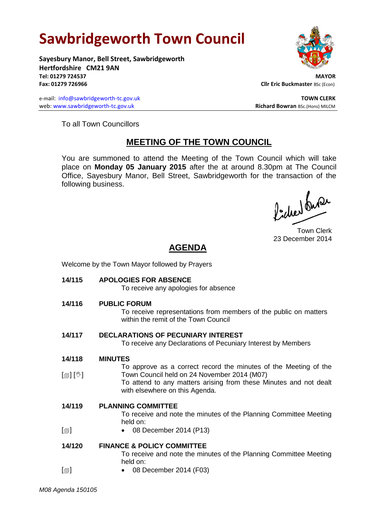# **Sawbridgeworth Town Council**

**Sayesbury Manor, Bell Street, Sawbridgeworth Hertfordshire CM21 9AN Tel: 01279 724537 MAYOR Fax: 01279 726966 Cllr Eric Buckmaster** BSc (Econ)

e-mail: [info@sawbridgeworth-tc.gov.uk](mailto:info@sawbridgeworth-tc.gov.uk) **TOWN CLERK** web: www.sawbridgeworth-tc.gov.uk<br> **Richard Bowran** BSc.(Hons) MILCM



To all Town Councillors

## **MEETING OF THE TOWN COUNCIL**

You are summoned to attend the Meeting of the Town Council which will take place on **Monday 05 January 2015** after the at around 8.30pm at The Council Office, Sayesbury Manor, Bell Street, Sawbridgeworth for the transaction of the following business.

fidee buse

Town Clerk 23 December 2014

# **AGENDA**

Welcome by the Town Mayor followed by Prayers

**14/115 APOLOGIES FOR ABSENCE** To receive any apologies for absence **14/116 PUBLIC FORUM** To receive representations from members of the public on matters within the remit of the Town Council **14/117 DECLARATIONS OF PECUNIARY INTEREST** To receive any Declarations of Pecuniary Interest by Members **14/118**  $\lceil$  [ $\parallel$   $\parallel$   $\parallel$   $\parallel$   $\parallel$ **MINUTES** To approve as a correct record the minutes of the Meeting of the Town Council held on 24 November 2014 (M07) To attend to any matters arising from these Minutes and not dealt with elsewhere on this Agenda. **14/119**  $\Box$ **PLANNING COMMITTEE** To receive and note the minutes of the Planning Committee Meeting held on: 08 December 2014 (P13) **14/120**  $[\blacksquare]$ **FINANCE & POLICY COMMITTEE** To receive and note the minutes of the Planning Committee Meeting held on: 08 December 2014 (F03)